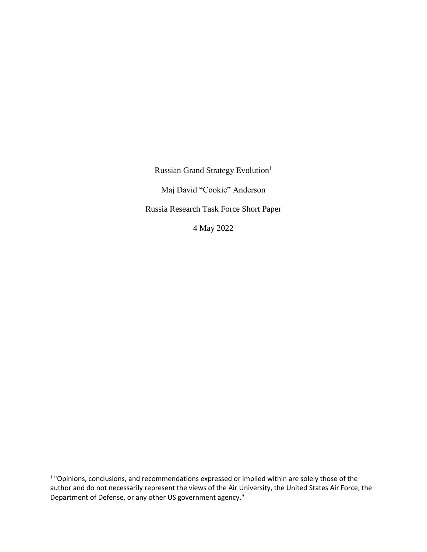Russian Grand Strategy Evolution<sup>1</sup>

Maj David "Cookie" Anderson

Russia Research Task Force Short Paper

4 May 2022

 $\overline{a}$ 

<sup>&</sup>lt;sup>1</sup> "Opinions, conclusions, and recommendations expressed or implied within are solely those of the author and do not necessarily represent the views of the Air University, the United States Air Force, the Department of Defense, or any other US government agency."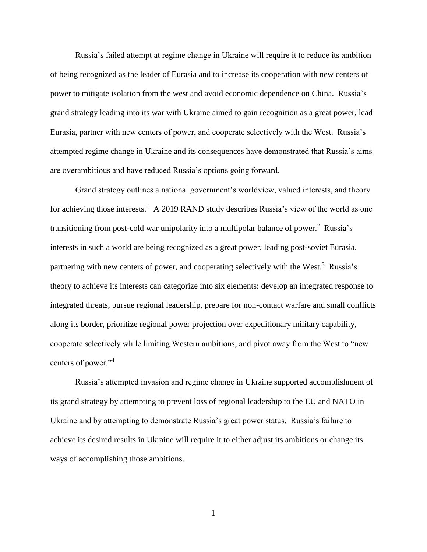Russia's failed attempt at regime change in Ukraine will require it to reduce its ambition of being recognized as the leader of Eurasia and to increase its cooperation with new centers of power to mitigate isolation from the west and avoid economic dependence on China. Russia's grand strategy leading into its war with Ukraine aimed to gain recognition as a great power, lead Eurasia, partner with new centers of power, and cooperate selectively with the West. Russia's attempted regime change in Ukraine and its consequences have demonstrated that Russia's aims are overambitious and have reduced Russia's options going forward.

Grand strategy outlines a national government's worldview, valued interests, and theory for achieving those interests.<sup>1</sup> A 2019 RAND study describes Russia's view of the world as one transitioning from post-cold war unipolarity into a multipolar balance of power.<sup>2</sup> Russia's interests in such a world are being recognized as a great power, leading post-soviet Eurasia, partnering with new centers of power, and cooperating selectively with the West.<sup>3</sup> Russia's theory to achieve its interests can categorize into six elements: develop an integrated response to integrated threats, pursue regional leadership, prepare for non-contact warfare and small conflicts along its border, prioritize regional power projection over expeditionary military capability, cooperate selectively while limiting Western ambitions, and pivot away from the West to "new centers of power."<sup>4</sup>

Russia's attempted invasion and regime change in Ukraine supported accomplishment of its grand strategy by attempting to prevent loss of regional leadership to the EU and NATO in Ukraine and by attempting to demonstrate Russia's great power status. Russia's failure to achieve its desired results in Ukraine will require it to either adjust its ambitions or change its ways of accomplishing those ambitions.

1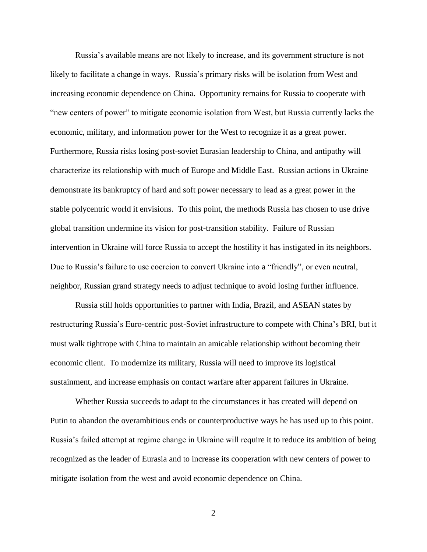Russia's available means are not likely to increase, and its government structure is not likely to facilitate a change in ways. Russia's primary risks will be isolation from West and increasing economic dependence on China. Opportunity remains for Russia to cooperate with "new centers of power" to mitigate economic isolation from West, but Russia currently lacks the economic, military, and information power for the West to recognize it as a great power. Furthermore, Russia risks losing post-soviet Eurasian leadership to China, and antipathy will characterize its relationship with much of Europe and Middle East. Russian actions in Ukraine demonstrate its bankruptcy of hard and soft power necessary to lead as a great power in the stable polycentric world it envisions. To this point, the methods Russia has chosen to use drive global transition undermine its vision for post-transition stability. Failure of Russian intervention in Ukraine will force Russia to accept the hostility it has instigated in its neighbors. Due to Russia's failure to use coercion to convert Ukraine into a "friendly", or even neutral, neighbor, Russian grand strategy needs to adjust technique to avoid losing further influence.

Russia still holds opportunities to partner with India, Brazil, and ASEAN states by restructuring Russia's Euro-centric post-Soviet infrastructure to compete with China's BRI, but it must walk tightrope with China to maintain an amicable relationship without becoming their economic client. To modernize its military, Russia will need to improve its logistical sustainment, and increase emphasis on contact warfare after apparent failures in Ukraine.

Whether Russia succeeds to adapt to the circumstances it has created will depend on Putin to abandon the overambitious ends or counterproductive ways he has used up to this point. Russia's failed attempt at regime change in Ukraine will require it to reduce its ambition of being recognized as the leader of Eurasia and to increase its cooperation with new centers of power to mitigate isolation from the west and avoid economic dependence on China.

2